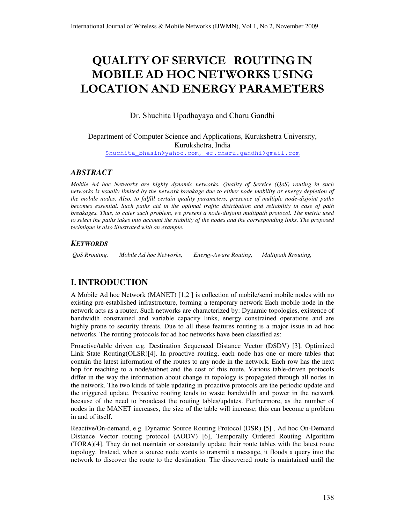# QUALITY OF SERVICE ROUTING IN MOBILE AD HOC NETWORKS USING LOCATION AND ENERGY PARAMETERS

Dr. Shuchita Upadhayaya and Charu Gandhi

Department of Computer Science and Applications, Kurukshetra University, Kurukshetra, India

Shuchita\_bhasin@yahoo.com, er.charu.gandhi@gmail.com

# *ABSTRACT*

*Mobile Ad hoc Networks are highly dynamic networks. Quality of Service (QoS) routing in such networks is usually limited by the network breakage due to either node mobility or energy depletion of the mobile nodes. Also, to fulfill certain quality parameters, presence of multiple node-disjoint paths becomes essential. Such paths aid in the optimal traffic distribution and reliability in case of path breakages. Thus, to cater such problem, we present a node-disjoint multipath protocol. The metric used to select the paths takes into account the stability of the nodes and the corresponding links. The proposed technique is also illustrated with an example.*

### *KEYWORDS*

 *QoS Rrouting, Mobile Ad hoc Networks, Energy-Aware Routing, Multipath Rrouting,* 

# **I. INTRODUCTION**

A Mobile Ad hoc Network (MANET) [1,2 ] is collection of mobile/semi mobile nodes with no existing pre-established infrastructure, forming a temporary network Each mobile node in the network acts as a router. Such networks are characterized by: Dynamic topologies, existence of bandwidth constrained and variable capacity links, energy constrained operations and are highly prone to security threats. Due to all these features routing is a major issue in ad hoc networks. The routing protocols for ad hoc networks have been classified as:

Proactive/table driven e.g. Destination Sequenced Distance Vector (DSDV) [3], Optimized Link State Routing(OLSR)[4]. In proactive routing, each node has one or more tables that contain the latest information of the routes to any node in the network. Each row has the next hop for reaching to a node/subnet and the cost of this route. Various table-driven protocols differ in the way the information about change in topology is propagated through all nodes in the network. The two kinds of table updating in proactive protocols are the periodic update and the triggered update. Proactive routing tends to waste bandwidth and power in the network because of the need to broadcast the routing tables/updates. Furthermore, as the number of nodes in the MANET increases, the size of the table will increase; this can become a problem in and of itself.

Reactive/On-demand, e.g. Dynamic Source Routing Protocol (DSR) [5] , Ad hoc On-Demand Distance Vector routing protocol (AODV) [6], Temporally Ordered Routing Algorithm (TORA)[4]. They do not maintain or constantly update their route tables with the latest route topology. Instead, when a source node wants to transmit a message, it floods a query into the network to discover the route to the destination. The discovered route is maintained until the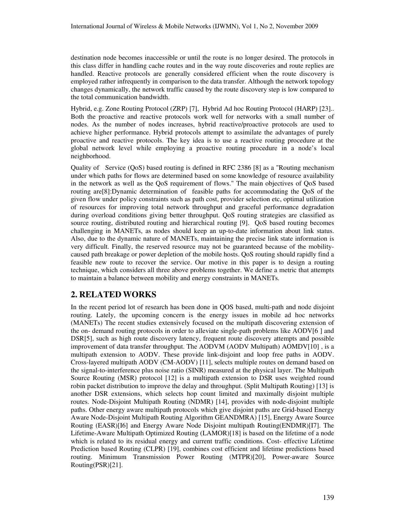destination node becomes inaccessible or until the route is no longer desired. The protocols in this class differ in handling cache routes and in the way route discoveries and route replies are handled. Reactive protocols are generally considered efficient when the route discovery is employed rather infrequently in comparison to the data transfer. Although the network topology changes dynamically, the network traffic caused by the route discovery step is low compared to the total communication bandwidth.

Hybrid, e.g. Zone Routing Protocol (ZRP) [7], Hybrid Ad hoc Routing Protocol (HARP) [23].. Both the proactive and reactive protocols work well for networks with a small number of nodes. As the number of nodes increases, hybrid reactive/proactive protocols are used to achieve higher performance. Hybrid protocols attempt to assimilate the advantages of purely proactive and reactive protocols. The key idea is to use a reactive routing procedure at the global network level while employing a proactive routing procedure in a node's local neighborhood.

Quality of Service (QoS) based routing is defined in RFC 2386 [8] as a "Routing mechanism under which paths for flows are determined based on some knowledge of resource availability in the network as well as the QoS requirement of flows." The main objectives of QoS based routing are[8]:Dynamic determination of feasible paths for accommodating the QoS of the given flow under policy constraints such as path cost, provider selection etc, optimal utilization of resources for improving total network throughput and graceful performance degradation during overload conditions giving better throughput. QoS routing strategies are classified as source routing, distributed routing and hierarchical routing [9]. QoS based routing becomes challenging in MANETs, as nodes should keep an up-to-date information about link status. Also, due to the dynamic nature of MANETs, maintaining the precise link state information is very difficult. Finally, the reserved resource may not be guaranteed because of the mobilitycaused path breakage or power depletion of the mobile hosts. QoS routing should rapidly find a feasible new route to recover the service. Our motive in this paper is to design a routing technique, which considers all three above problems together. We define a metric that attempts to maintain a balance between mobility and energy constraints in MANETs.

# **2. RELATED WORKS**

In the recent period lot of research has been done in QOS based, multi-path and node disjoint routing. Lately, the upcoming concern is the energy issues in mobile ad hoc networks (MANETs) The recent studies extensively focused on the multipath discovering extension of the on- demand routing protocols in order to alleviate single-path problems like AODV[6 ] and DSR[5], such as high route discovery latency, frequent route discovery attempts and possible improvement of data transfer throughput. The AODVM (AODV Multipath) AOMDV[10], is a multipath extension to AODV. These provide link-disjoint and loop free paths in AODV. Cross-layered multipath AODV (CM-AODV) [11], selects multiple routes on demand based on the signal-to-interference plus noise ratio (SINR) measured at the physical layer. The Multipath Source Routing (MSR) protocol [12] is a multipath extension to DSR uses weighted round robin packet distribution to improve the delay and throughput. (Split Multipath Routing) [13] is another DSR extensions, which selects hop count limited and maximally disjoint multiple routes. Node-Disjoint Multipath Routing (NDMR) [14], provides with node-disjoint multiple paths. Other energy aware multipath protocols which give disjoint paths are Grid-based Energy Aware Node-Disjoint Multipath Routing Algorithm GEANDMRA) [15], Energy Aware Source Routing (EASR)[I6] and Energy Aware Node Disjoint multipath Routing(ENDMR)[I7]. The Lifetime-Aware Multipath Optimized Routing (LAMOR)[18] is based on the lifetime of a node which is related to its residual energy and current traffic conditions. Cost- effective Lifetime Prediction based Routing (CLPR) [19], combines cost efficient and lifetime predictions based routing. Minimum Transmission Power Routing (MTPR)[20], Power-aware Source Routing(PSR)[21].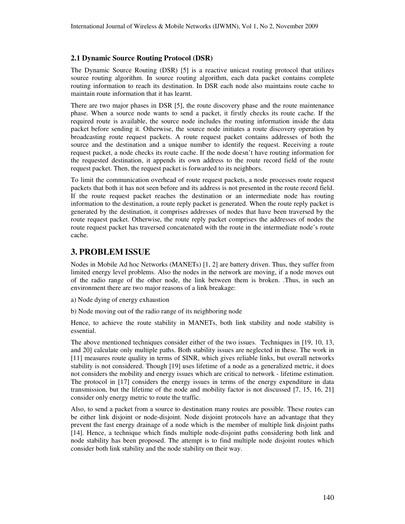#### **2.1 Dynamic Source Routing Protocol (DSR)**

The Dynamic Source Routing (DSR) [5] is a reactive unicast routing protocol that utilizes source routing algorithm. In source routing algorithm, each data packet contains complete routing information to reach its destination. In DSR each node also maintains route cache to maintain route information that it has learnt.

There are two major phases in DSR [5], the route discovery phase and the route maintenance phase. When a source node wants to send a packet, it firstly checks its route cache. If the required route is available, the source node includes the routing information inside the data packet before sending it. Otherwise, the source node initiates a route discovery operation by broadcasting route request packets. A route request packet contains addresses of both the source and the destination and a unique number to identify the request. Receiving a route request packet, a node checks its route cache. If the node doesn't have routing information for the requested destination, it appends its own address to the route record field of the route request packet. Then, the request packet is forwarded to its neighbors.

To limit the communication overhead of route request packets, a node processes route request packets that both it has not seen before and its address is not presented in the route record field. If the route request packet reaches the destination or an intermediate node has routing information to the destination, a route reply packet is generated. When the route reply packet is generated by the destination, it comprises addresses of nodes that have been traversed by the route request packet. Otherwise, the route reply packet comprises the addresses of nodes the route request packet has traversed concatenated with the route in the intermediate node's route cache.

# **3. PROBLEM ISSUE**

Nodes in Mobile Ad hoc Networks (MANETs) [1, 2] are battery driven. Thus, they suffer from limited energy level problems. Also the nodes in the network are moving, if a node moves out of the radio range of the other node, the link between them is broken. .Thus, in such an environment there are two major reasons of a link breakage:

- a) Node dying of energy exhaustion
- b) Node moving out of the radio range of its neighboring node

Hence, to achieve the route stability in MANETs, both link stability and node stability is essential.

The above mentioned techniques consider either of the two issues. Techniques in [19, 10, 13, and 20] calculate only multiple paths. Both stability issues are neglected in these. The work in [11] measures route quality in terms of SINR, which gives reliable links, but overall networks stability is not considered. Though [19] uses lifetime of a node as a generalized metric, it does not considers the mobility and energy issues which are critical to network - lifetime estimation. The protocol in [17] considers the energy issues in terms of the energy expenditure in data transmission, but the lifetime of the node and mobility factor is not discussed [7, 15, 16, 21] consider only energy metric to route the traffic.

Also, to send a packet from a source to destination many routes are possible. These routes can be either link disjoint or node-disjoint. Node disjoint protocols have an advantage that they prevent the fast energy drainage of a node which is the member of multiple link disjoint paths [14]. Hence, a technique which finds multiple node-disjoint paths considering both link and node stability has been proposed. The attempt is to find multiple node disjoint routes which consider both link stability and the node stability on their way.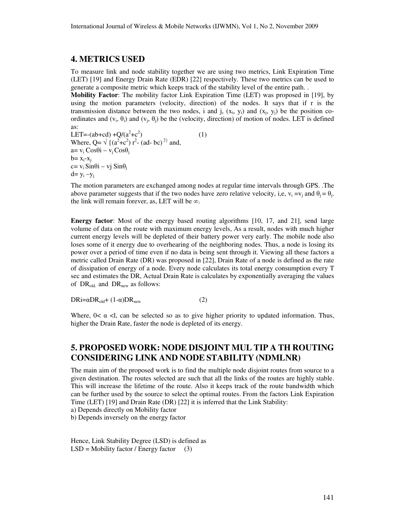# **4. METRICS USED**

To measure link and node stability together we are using two metrics, Link Expiration Time (LET) [19] and Energy Drain Rate (EDR) [22] respectively. These two metrics can be used to generate a composite metric which keeps track of the stability level of the entire path. .

**Mobility Factor**: The mobility factor Link Expiration Time (LET) was proposed in [19], by using the motion parameters (velocity, direction) of the nodes. It says that if r is the transmission distance between the two nodes, i and j,  $(x_i, y_i)$  and  $(x_j, y_j)$  be the position coordinates and  $(v_i, \theta_i)$  and  $(v_j, \theta_j)$  be the (velocity, direction) of motion of nodes. LET is defined as:

LET=-(ab+cd) + $Q/(a^2+c^2)$ ) (1) Where, Q=  $\sqrt{(a^2+c^2)} r^2$ - (ad- bc)<sup>2}</sup> and,  $a=v_i \cos\theta i - v_j \cos\theta_j$  $b = x_i - x_i$ c= v<sub>i</sub> Sinθi – vj Sinθ<sub>i</sub>  $d= y_i - y_j$ 

The motion parameters are exchanged among nodes at regular time intervals through GPS. .The above parameter suggests that if the two nodes have zero relative velocity, i,e,  $v_i = v_j$  and  $\theta_j = \theta_j$ . the link will remain forever, as, LET will be  $\infty$ .

**Energy factor**: Most of the energy based routing algorithms [10, 17, and 21], send large volume of data on the route with maximum energy levels, As a result, nodes with much higher current energy levels will be depleted of their battery power very early. The mobile node also loses some of it energy due to overhearing of the neighboring nodes. Thus, a node is losing its power over a period of time even if no data is being sent through it. Viewing all these factors a metric called Drain Rate (DR) was proposed in [22], Drain Rate of a node is defined as the rate of dissipation of energy of a node. Every node calculates its total energy consumption every T sec and estimates the DR, Actual Drain Rate is calculates by exponentially averaging the values of DR<sub>old.</sub> and DR<sub>new</sub> as follows:

 $DRi = \alpha DR_{\text{old}} + (1-\alpha)DR_{\text{new}}$  (2)

Where,  $0 < \alpha < I$ , can be selected so as to give higher priority to updated information. Thus, higher the Drain Rate, faster the node is depleted of its energy.

# **5. PROPOSED WORK: NODE DISJOINT MUL TIP A TH ROUTING CONSIDERING LINK AND NODE STABILITY (NDMLNR)**

The main aim of the proposed work is to find the multiple node disjoint routes from source to a given destination. The routes selected are such that all the links of the routes are highly stable. This will increase the lifetime of the route. Also it keeps track of the route bandwidth which can be further used by the source to select the optimal routes. From the factors Link Expiration Time (LET) [19] and Drain Rate (DR) [22] it is inferred that the Link Stability: a) Depends directly on Mobility factor

b) Depends inversely on the energy factor

Hence, Link Stability Degree (LSD) is defined as  $LSD = Mobility factor / Energy factor (3)$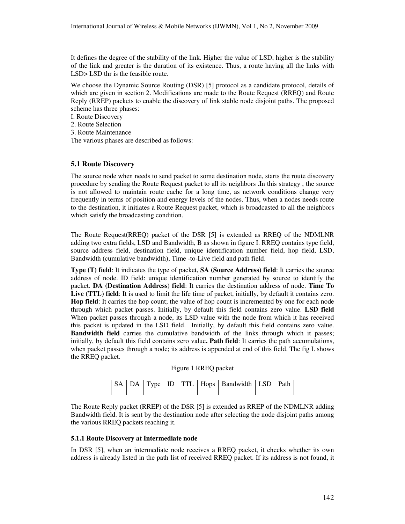It defines the degree of the stability of the link. Higher the value of LSD, higher is the stability of the link and greater is the duration of its existence. Thus, a route having all the links with LSD> LSD thr is the feasible route.

We choose the Dynamic Source Routing (DSR) [5] protocol as a candidate protocol, details of which are given in section 2. Modifications are made to the Route Request (RREQ) and Route Reply (RREP) packets to enable the discovery of link stable node disjoint paths. The proposed scheme has three phases:

I. Route Discovery

2. Route Selection

3. Route Maintenance

The various phases are described as follows:

#### **5.1 Route Discovery**

The source node when needs to send packet to some destination node, starts the route discovery procedure by sending the Route Request packet to all its neighbors .In this strategy , the source is not allowed to maintain route cache for a long time, as network conditions change very frequently in terms of position and energy levels of the nodes. Thus, when a nodes needs route to the destination, it initiates a Route Request packet, which is broadcasted to all the neighbors which satisfy the broadcasting condition.

The Route Request(RREQ) packet of the DSR [5] is extended as RREQ of the NDMLNR adding two extra fields, LSD and Bandwidth, B as shown in figure I. RREQ contains type field, source address field, destination field, unique identification number field, hop field, LSD, Bandwidth (cumulative bandwidth), Time -to-Live field and path field.

**Type (T) field**: It indicates the type of packet, **SA (Source Address) field**: It carries the source address of node. ID field: unique identification number generated by source to identify the packet. **DA (Destination Address) field**: It carries the destination address of node. **Time To Live (TTL) field**: It is used to limit the life time of packet, initially, by default it contains zero. **Hop field**: It carries the hop count; the value of hop count is incremented by one for each node through which packet passes. Initially, by default this field contains zero value. **LSD field** When packet passes through a node, its LSD value with the node from which it has received this packet is updated in the LSD field. Initially, by default this field contains zero value. **Bandwidth field** carries the cumulative bandwidth of the links through which it passes; initially, by default this field contains zero value**. Path field**: It carries the path accumulations, when packet passes through a node; its address is appended at end of this field. The fig I. shows the RREQ packet.

| Figure 1 RREQ packet |  |  |
|----------------------|--|--|
|----------------------|--|--|

|  |  |  | $\vert$ SA $\vert$ DA $\vert$ Type $\vert$ ID $\vert$ TTL $\vert$ Hops $\vert$ Bandwidth $\vert$ LSD $\vert$ Path |  |
|--|--|--|-------------------------------------------------------------------------------------------------------------------|--|
|  |  |  |                                                                                                                   |  |

The Route Reply packet (RREP) of the DSR [5] is extended as RREP of the NDMLNR adding Bandwidth field. It is sent by the destination node after selecting the node disjoint paths among the various RREQ packets reaching it.

#### **5.1.1 Route Discovery at Intermediate node**

In DSR [5], when an intermediate node receives a RREQ packet, it checks whether its own address is already listed in the path list of received RREQ packet. If its address is not found, it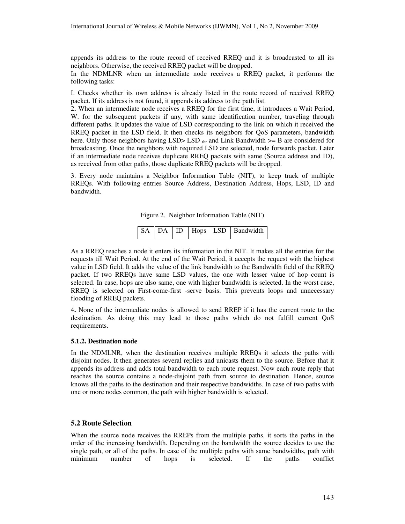appends its address to the route record of received RREQ and it is broadcasted to all its neighbors. Otherwise, the received RREQ packet will be dropped.

In the NDMLNR when an intermediate node receives a RREQ packet, it performs the following tasks:

I. Checks whether its own address is already listed in the route record of received RREQ packet. If its address is not found, it appends its address to the path list.

2**.** When an intermediate node receives a RREQ for the first time, it introduces a Wait Period, W. for the subsequent packets if any, with same identification number, traveling through different paths. It updates the value of LSD corresponding to the link on which it received the RREQ packet in the LSD field. It then checks its neighbors for QoS parameters, bandwidth here. Only those neighbors having LSD> LSD  $_{\text{thr}}$  and Link Bandwidth  $>=$  B are considered for broadcasting. Once the neighbors with required LSD are selected, node forwards packet. Later if an intermediate node receives duplicate RREQ packets with same (Source address and ID), as received from other paths, those duplicate RREQ packets will be dropped.

3. Every node maintains a Neighbor Information Table (NIT), to keep track of multiple RREQs. With following entries Source Address, Destination Address, Hops, LSD, ID and bandwidth.

Figure 2. Neighbor Information Table (NIT)

|  |  |  |  |  | SA DA ID Hops LSD Bandwidth |
|--|--|--|--|--|-----------------------------|
|--|--|--|--|--|-----------------------------|

As a RREQ reaches a node it enters its information in the NIT. It makes all the entries for the requests till Wait Period. At the end of the Wait Period, it accepts the request with the highest value in LSD field. It adds the value of the link bandwidth to the Bandwidth field of the RREQ packet. If two RREQs have same LSD values, the one with lesser value of hop count is selected. In case, hops are also same, one with higher bandwidth is selected. In the worst case, RREQ is selected on First-come-first -serve basis. This prevents loops and unnecessary flooding of RREQ packets.

4**.** None of the intermediate nodes is allowed to send RREP if it has the current route to the destination. As doing this may lead to those paths which do not fulfill current QoS requirements.

#### **5.1.2. Destination node**

In the NDMLNR, when the destination receives multiple RREQs it selects the paths with disjoint nodes. It then generates several replies and unicasts them to the source. Before that it appends its address and adds total bandwidth to each route request. Now each route reply that reaches the source contains a node-disjoint path from source to destination. Hence, source knows all the paths to the destination and their respective bandwidths. In case of two paths with one or more nodes common, the path with higher bandwidth is selected.

#### **5.2 Route Selection**

When the source node receives the RREPs from the multiple paths, it sorts the paths in the order of the increasing bandwidth. Depending on the bandwidth the source decides to use the single path, or all of the paths. In case of the multiple paths with same bandwidths, path with minimum number of hops is selected. If the paths conflict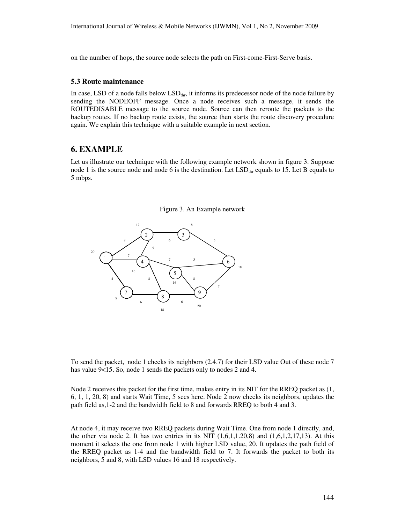on the number of hops, the source node selects the path on First-come-First-Serve basis.

#### **5.3 Route maintenance**

In case, LSD of a node falls below  $LSD<sub>thr</sub>$ , it informs its predecessor node of the node failure by sending the NODEOFF message. Once a node receives such a message, it sends the ROUTEDISABLE message to the source node. Source can then reroute the packets to the backup routes. If no backup route exists, the source then starts the route discovery procedure again. We explain this technique with a suitable example in next section.

# **6. EXAMPLE**

Let us illustrate our technique with the following example network shown in figure 3. Suppose node 1 is the source node and node 6 is the destination. Let  $LSD<sub>thr</sub>$  equals to 15. Let B equals to 5 mbps.





To send the packet, node 1 checks its neighbors (2.4.7) for their LSD value Out of these node 7 has value 9<15. So, node 1 sends the packets only to nodes 2 and 4.

Node 2 receives this packet for the first time, makes entry in its NIT for the RREQ packet as (1, 6, 1, 1, 20, 8) and starts Wait Time, 5 secs here. Node 2 now checks its neighbors, updates the path field as,1-2 and the bandwidth field to 8 and forwards RREQ to both 4 and 3.

At node 4, it may receive two RREQ packets during Wait Time. One from node 1 directly, and, the other via node 2. It has two entries in its NIT  $(1,6,1,1.20,8)$  and  $(1,6,1,2,17,13)$ . At this moment it selects the one from node 1 with higher LSD value, 20. It updates the path field of the RREQ packet as 1-4 and the bandwidth field to 7. It forwards the packet to both its neighbors, 5 and 8, with LSD values 16 and 18 respectively.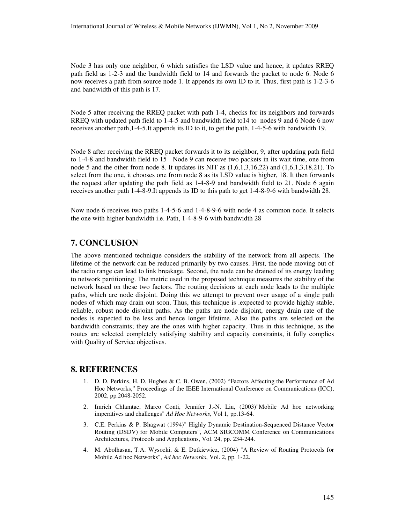Node 3 has only one neighbor, 6 which satisfies the LSD value and hence, it updates RREQ path field as 1-2-3 and the bandwidth field to 14 and forwards the packet to node 6. Node 6 now receives a path from source node 1. It appends its own ID to it. Thus, first path is 1-2-3-6 and bandwidth of this path is 17.

Node 5 after receiving the RREQ packet with path 1-4, checks for its neighbors and forwards RREQ with updated path field to 1-4-5 and bandwidth field to14 to nodes 9 and 6 Node 6 now receives another path,1-4-5.It appends its ID to it, to get the path, 1-4-5-6 with bandwidth 19.

Node 8 after receiving the RREQ packet forwards it to its neighbor, 9, after updating path field to 1-4-8 and bandwidth field to 15 Node 9 can receive two packets in its wait time, one from node 5 and the other from node 8. It updates its NIT as  $(1,6,1,3,16,22)$  and  $(1,6,1,3,18,21)$ . To select from the one, it chooses one from node 8 as its LSD value is higher, 18. It then forwards the request after updating the path field as 1-4-8-9 and bandwidth field to 21. Node 6 again receives another path 1-4-8-9.It appends its ID to this path to get 1-4-8-9-6 with bandwidth 28.

Now node 6 receives two paths 1-4-5-6 and 1-4-8-9-6 with node 4 as common node. It selects the one with higher bandwidth i.e. Path, 1-4-8-9-6 with bandwidth 28

# **7. CONCLUSION**

The above mentioned technique considers the stability of the network from all aspects. The lifetime of the network can be reduced primarily by two causes. First, the node moving out of the radio range can lead to link breakage. Second, the node can be drained of its energy leading to network partitioning. The metric used in the proposed technique measures the stability of the network based on these two factors. The routing decisions at each node leads to the multiple paths, which are node disjoint. Doing this we attempt to prevent over usage of a single path nodes of which may drain out soon. Thus, this technique is .expected to provide highly stable, reliable, robust node disjoint paths. As the paths are node disjoint, energy drain rate of the nodes is expected to be less and hence longer lifetime. Also the paths are selected on the bandwidth constraints; they are the ones with higher capacity. Thus in this technique, as the routes are selected completely satisfying stability and capacity constraints, it fully complies with Quality of Service objectives.

### **8. REFERENCES**

- 1. D. D. Perkins, H. D. Hughes & C. B. Owen, (2002) "Factors Affecting the Performance of Ad Hoc Networks," Proceedings of the IEEE International Conference on Communications (ICC), 2002, pp.2048-2052.
- 2. Imrich Chlamtac, Marco Conti, Jennifer J.-N. Liu, (2003)"Mobile Ad hoc networking imperatives and challenges" *Ad Hoc Networks*, Vol 1, pp.13-64.
- 3. C.E. Perkins & P. Bhagwat (1994)" Highly Dynamic Destination-Sequenced Distance Vector Routing (DSDV) for Mobile Computers", ACM SIGCOMM Conference on Communications Architectures, Protocols and Applications, Vol. 24, pp. 234-244.
- 4. M. Abolhasan, T.A. Wysocki, & E. Dutkiewicz, (2004) "A Review of Routing Protocols for Mobile Ad hoc Networks", *Ad hoc Networks*, Vol. 2, pp. 1-22.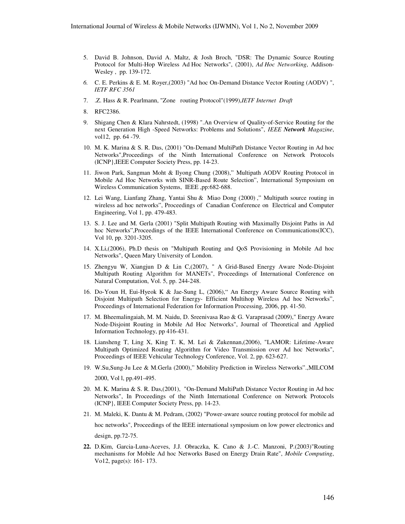- 5. David B. Johnson, David A. Maltz, & Josh Broch, "DSR: The Dynamic Source Routing Protocol for Multi-Hop Wireless Ad Hoc Networks", (2001), *Ad Hoc Networking*, Addison-Wesley , pp. 139-172.
- *6.* C. E. Perkins & E. M. Royer,(2003) "Ad hoc On-Demand Distance Vector Routing (AODV) ", *IETF RFC 3561*
- 7. .Z. Hass & R. Pearlmann, "Zone routing Protocol"(1999),*IETF Internet Draft*
- 8. RFC2386.
- 9. Shigang Chen & Klara Nahrstedt, (1998) ".An Overview of Quality-of-Service Routing for the next Generation High -Speed Networks: Problems and Solutions", *IEEE Network Magazine*, vol12, pp. 64 -79.
- 10. M. K. Marina & S. R. Das, (2001) "On-Demand MultiPath Distance Vector Routing in Ad hoc Networks",Proceedings of the Ninth International Conference on Network Protocols (ICNP},IEEE Computer Society Press, pp. 14-23.
- 11. Jiwon Park, Sangman Moht & Ilyong Chung (2008)," Multipath AODV Routing Protocol in Mobile Ad Hoc Networks with SINR-Based Route Selection", International Symposium on Wireless Communication Systems, IEEE ,pp:682-688.
- 12. Lei Wang, Lianfang Zhang, Yantai Shu & Miao Dong (2000) ," Multipath source routing in wireless ad hoc networks", Proceedings of Canadian Conference on Electrical and Computer Engineering, Vol 1, pp. 479-483.
- 13. S. J. Lee and M. Gerla (2001) "Split Multipath Routing with Maximally Disjoint Paths in Ad hoc Networks",Proceedings of the IEEE International Conference on Communications(ICC), Vol 10, pp. 3201-3205.
- 14. X.Li,(2006), Ph.D thesis on "Multipath Routing and QoS Provisioning in Mobile Ad hoc Networks", Queen Mary University of London.
- 15. Zhengyu W, Xiangjun D & Lin C,(2007), " A Grid-Based Energy Aware Node-Disjoint Multipath Routing Algorithm for MANETs", Proceedings of International Conference on Natural Computation, Vol. 5, pp. 244-248.
- 16. Do-Youn H, Eui-Hyeok K & Jae-Sung L, (2006)," An Energy Aware Source Routing with Disjoint Multipath Selection for Energy- Efficient Multihop Wireless Ad hoc Networks", Proceedings of International Federation for Information Processing, 2006, pp. 41-50.
- 17. M. Bheemalingaiah, M. M. Naidu, D. Sreenivasa Rao & G. Varaprasad (2009)," Energy Aware Node-Disjoint Routing in Mobile Ad Hoc Networks", Journal of Theoretical and Applied Information Technology, pp 416-431.
- 18. Liansheng T, Ling X, King T. K, M. Lei & Zukennan,(2006), "LAMOR: Lifetime-Aware Multipath Optimized Routing Algorithm for Video Transmission over Ad hoc Networks", Proceedings of IEEE Vehicular Technology Conference, Vol. 2, pp. 623-627.
- 19. W.Su,Sung-Ju Lee & M.Gerla (2000)," Mobility Prediction in Wireless Networks".,MILCOM 2000, Vol l, pp.491-495.
- 20. M. K. Marina & S. R. Das,(2001), "On-Demand MultiPath Distance Vector Routing in Ad hoc Networks", In Proceedings of the Ninth International Conference on Network Protocols (ICNP}, IEEE Computer Society Press, pp. 14-23.
- 21. M. Maleki, K. Dantu & M. Pedram, (2002) "Power-aware source routing protocol for mobile ad hoc networks", Proceedings of the IEEE international symposium on low power electronics and design, pp.72-75.
- **22.** D.Kim, Garcia-Luna-Aceves, J.J. Obraczka, K. Cano & J.-C. Manzoni, P.(2003)"Routing mechanisms for Mobile Ad hoc Networks Based on Energy Drain Rate", *Mobile Computing*, Vo12, page(s): 161- 173.